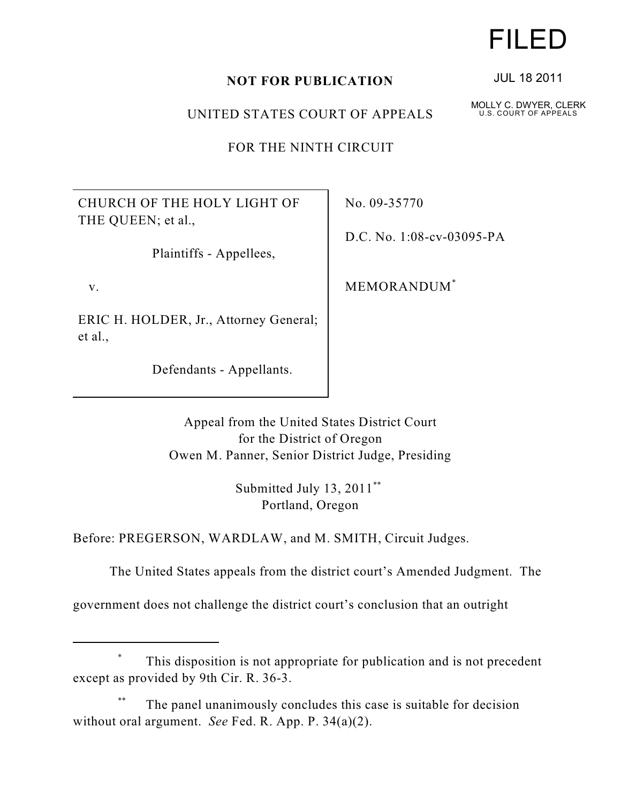## **NOT FOR PUBLICATION**

UNITED STATES COURT OF APPEALS

FOR THE NINTH CIRCUIT

CHURCH OF THE HOLY LIGHT OF THE QUEEN; et al.,

Plaintiffs - Appellees,

v.

ERIC H. HOLDER, Jr., Attorney General; et al.,

Defendants - Appellants.

No. 09-35770

D.C. No. 1:08-cv-03095-PA

MEMORANDUM\*

Appeal from the United States District Court for the District of Oregon Owen M. Panner, Senior District Judge, Presiding

> Submitted July 13, 2011<sup>\*\*</sup> Portland, Oregon

Before: PREGERSON, WARDLAW, and M. SMITH, Circuit Judges.

The United States appeals from the district court's Amended Judgment. The

government does not challenge the district court's conclusion that an outright

## This disposition is not appropriate for publication and is not precedent \* except as provided by 9th Cir. R. 36-3.

The panel unanimously concludes this case is suitable for decision \*\* without oral argument. *See* Fed. R. App. P. 34(a)(2).

## FILED

JUL 18 2011

MOLLY C. DWYER, CLERK U.S. COURT OF APPEALS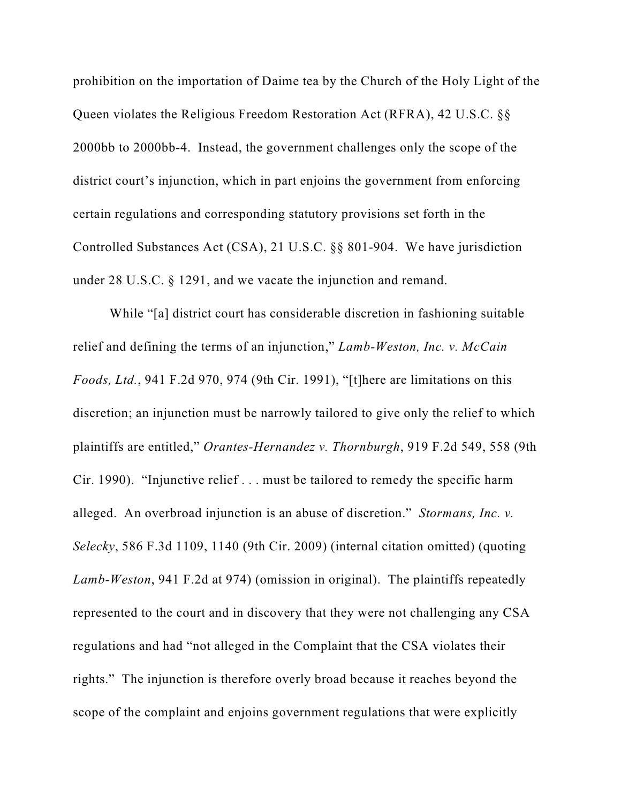prohibition on the importation of Daime tea by the Church of the Holy Light of the Queen violates the Religious Freedom Restoration Act (RFRA), 42 U.S.C. §§ 2000bb to 2000bb-4. Instead, the government challenges only the scope of the district court's injunction, which in part enjoins the government from enforcing certain regulations and corresponding statutory provisions set forth in the Controlled Substances Act (CSA), 21 U.S.C. §§ 801-904. We have jurisdiction under 28 U.S.C. § 1291, and we vacate the injunction and remand.

While "[a] district court has considerable discretion in fashioning suitable relief and defining the terms of an injunction," *Lamb-Weston, Inc. v. McCain Foods, Ltd.*, 941 F.2d 970, 974 (9th Cir. 1991), "[t]here are limitations on this discretion; an injunction must be narrowly tailored to give only the relief to which plaintiffs are entitled," *Orantes-Hernandez v. Thornburgh*, 919 F.2d 549, 558 (9th Cir. 1990). "Injunctive relief . . . must be tailored to remedy the specific harm alleged. An overbroad injunction is an abuse of discretion." *Stormans, Inc. v. Selecky*, 586 F.3d 1109, 1140 (9th Cir. 2009) (internal citation omitted) (quoting *Lamb-Weston*, 941 F.2d at 974) (omission in original). The plaintiffs repeatedly represented to the court and in discovery that they were not challenging any CSA regulations and had "not alleged in the Complaint that the CSA violates their rights." The injunction is therefore overly broad because it reaches beyond the scope of the complaint and enjoins government regulations that were explicitly